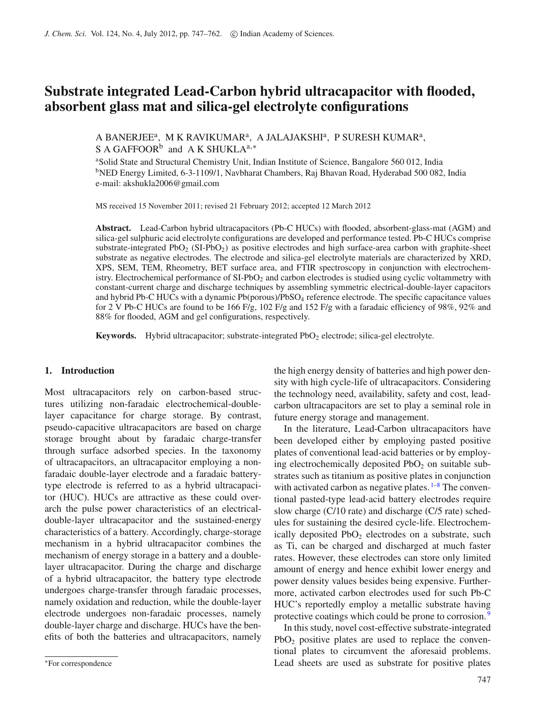# **Substrate integrated Lead-Carbon hybrid ultracapacitor with flooded, absorbent glass mat and silica-gel electrolyte configurations**

A BANERJEE<sup>a</sup>, M K RAVIKUMAR<sup>a</sup>, A JALAJAKSHI<sup>a</sup>, P SURESH KUMAR<sup>a</sup>, S A GAFFOOR<sup>b</sup> and A K SHUKLA<sup>a,\*</sup>

<sup>a</sup>Solid State and Structural Chemistry Unit, Indian Institute of Science, Bangalore 560 012, India <sup>b</sup>NED Energy Limited, 6-3-1109/1, Navbharat Chambers, Raj Bhavan Road, Hyderabad 500 082, India e-mail: akshukla2006@gmail.com

MS received 15 November 2011; revised 21 February 2012; accepted 12 March 2012

**Abstract.** Lead-Carbon hybrid ultracapacitors (Pb-C HUCs) with flooded, absorbent-glass-mat (AGM) and silica-gel sulphuric acid electrolyte configurations are developed and performance tested. Pb-C HUCs comprise substrate-integrated PbO<sub>2</sub> (SI-PbO<sub>2</sub>) as positive electrodes and high surface-area carbon with graphite-sheet substrate as negative electrodes. The electrode and silica-gel electrolyte materials are characterized by XRD, XPS, SEM, TEM, Rheometry, BET surface area, and FTIR spectroscopy in conjunction with electrochemistry. Electrochemical performance of SI-PbO<sub>2</sub> and carbon electrodes is studied using cyclic voltammetry with constant-current charge and discharge techniques by assembling symmetric electrical-double-layer capacitors and hybrid Pb-C HUCs with a dynamic Pb(porous)/PbSO4 reference electrode. The specific capacitance values for 2 V Pb-C HUCs are found to be 166 F/g, 102 F/g and 152 F/g with a faradaic efficiency of 98%, 92% and 88% for flooded, AGM and gel configurations, respectively.

Keywords. Hybrid ultracapacitor; substrate-integrated PbO<sub>2</sub> electrode; silica-gel electrolyte.

## **1. Introduction**

Most ultracapacitors rely on carbon-based structures utilizing non-faradaic electrochemical-doublelayer capacitance for charge storage. By contrast, pseudo-capacitive ultracapacitors are based on charge storage brought about by faradaic charge-transfer through surface adsorbed species. In the taxonomy of ultracapacitors, an ultracapacitor employing a nonfaradaic double-layer electrode and a faradaic batterytype electrode is referred to as a hybrid ultracapacitor (HUC). HUCs are attractive as these could overarch the pulse power characteristics of an electricaldouble-layer ultracapacitor and the sustained-energy characteristics of a battery. Accordingly, charge-storage mechanism in a hybrid ultracapacitor combines the mechanism of energy storage in a battery and a doublelayer ultracapacitor. During the charge and discharge of a hybrid ultracapacitor, the battery type electrode undergoes charge-transfer through faradaic processes, namely oxidation and reduction, while the double-layer electrode undergoes non-faradaic processes, namely double-layer charge and discharge. HUCs have the benefits of both the batteries and ultracapacitors, namely the high energy density of batteries and high power density with high cycle-life of ultracapacitors. Considering the technology need, availability, safety and cost, leadcarbon ultracapacitors are set to play a seminal role in future energy storage and management.

In the literature, Lead-Carbon ultracapacitors have been developed either by employing pasted positive plates of conventional lead-acid batteries or by employing electrochemically deposited  $PbO<sub>2</sub>$  on suitable substrates such as titanium as positive plates in conjunction with activated carbon as negative plates.  $1-8$  $1-8$  The conventional pasted-type lead-acid battery electrodes require slow charge (C/10 rate) and discharge (C/5 rate) schedules for sustaining the desired cycle-life. Electrochemically deposited  $PbO<sub>2</sub>$  electrodes on a substrate, such as Ti, can be charged and discharged at much faster rates. However, these electrodes can store only limited amount of energy and hence exhibit lower energy and power density values besides being expensive. Furthermore, activated carbon electrodes used for such Pb-C HUC's reportedly employ a metallic substrate having protective coatings which could be prone to corrosion.<sup>[9](#page-14-2)</sup>

In this study, novel cost-effective substrate-integrated  $PbO<sub>2</sub>$  positive plates are used to replace the conventional plates to circumvent the aforesaid problems. Lead sheets are used as substrate for positive plates

<sup>∗</sup>For correspondence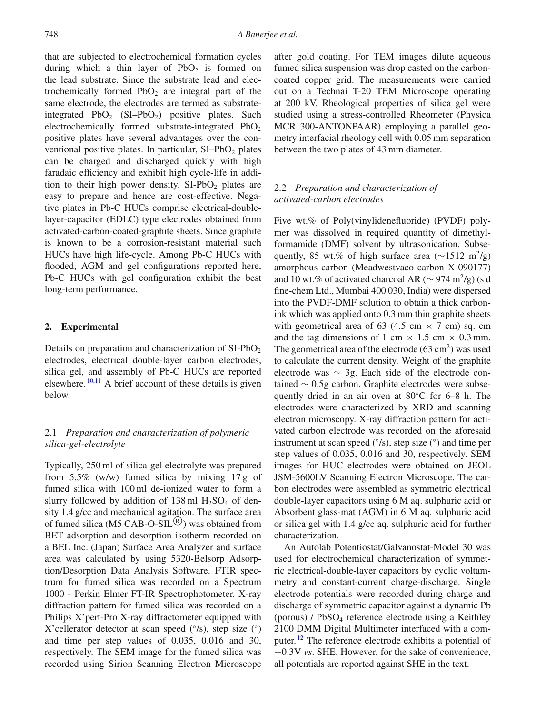that are subjected to electrochemical formation cycles during which a thin layer of  $PbO<sub>2</sub>$  is formed on the lead substrate. Since the substrate lead and electrochemically formed  $PbO<sub>2</sub>$  are integral part of the same electrode, the electrodes are termed as substrateintegrated  $PbO_2$  (SI–PbO<sub>2</sub>) positive plates. Such electrochemically formed substrate-integrated PbO<sub>2</sub> positive plates have several advantages over the conventional positive plates. In particular,  $SI-PbO<sub>2</sub>$  plates can be charged and discharged quickly with high faradaic efficiency and exhibit high cycle-life in addition to their high power density.  $SI-PbO<sub>2</sub>$  plates are easy to prepare and hence are cost-effective. Negative plates in Pb-C HUCs comprise electrical-doublelayer-capacitor (EDLC) type electrodes obtained from activated-carbon-coated-graphite sheets. Since graphite is known to be a corrosion-resistant material such HUCs have high life-cycle. Among Pb-C HUCs with flooded, AGM and gel configurations reported here, Pb-C HUCs with gel configuration exhibit the best long-term performance.

#### **2. Experimental**

Details on preparation and characterization of  $SI-PbO<sub>2</sub>$ electrodes, electrical double-layer carbon electrodes, silica gel, and assembly of Pb-C HUCs are reported elsewhere.  $10,11$  $10,11$  A brief account of these details is given below.

## 2.1 *Preparation and characterization of polymeric silica-gel-electrolyte*

Typically, 250 ml of silica-gel electrolyte was prepared from  $5.5\%$  (w/w) fumed silica by mixing 17 g of fumed silica with 100 ml de-ionized water to form a slurry followed by addition of  $138 \text{ ml H}_2\text{SO}_4$  of density 1.4 g/cc and mechanical agitation. The surface area of fumed silica (M5 CAB-O-SIL $\overset{\circ}{\mathbb{B}}$ ) was obtained from BET adsorption and desorption isotherm recorded on a BEL Inc. (Japan) Surface Area Analyzer and surface area was calculated by using 5320-Belsorp Adsorption/Desorption Data Analysis Software. FTIR spectrum for fumed silica was recorded on a Spectrum 1000 - Perkin Elmer FT-IR Spectrophotometer. X-ray diffraction pattern for fumed silica was recorded on a Philips X'pert-Pro X-ray diffractometer equipped with X'cellerator detector at scan speed  $(°/s)$ , step size  $(^{\circ})$ and time per step values of 0.035, 0.016 and 30, respectively. The SEM image for the fumed silica was recorded using Sirion Scanning Electron Microscope after gold coating. For TEM images dilute aqueous fumed silica suspension was drop casted on the carboncoated copper grid. The measurements were carried out on a Technai T-20 TEM Microscope operating at 200 kV. Rheological properties of silica gel were studied using a stress-controlled Rheometer (Physica MCR 300-ANTONPAAR) employing a parallel geometry interfacial rheology cell with 0.05 mm separation between the two plates of 43 mm diameter.

## 2.2 *Preparation and characterization of activated-carbon electrodes*

Five wt.% of Poly(vinylidenefluoride) (PVDF) polymer was dissolved in required quantity of dimethylformamide (DMF) solvent by ultrasonication. Subsequently, 85 wt.% of high surface area ( $\sim$ 1512 m<sup>2</sup>/g) amorphous carbon (Meadwestvaco carbon X-090177) and 10 wt.% of activated charcoal AR ( $\sim$  974 m<sup>2</sup>/g) (s d fine-chem Ltd., Mumbai 400 030, India) were dispersed into the PVDF-DMF solution to obtain a thick carbonink which was applied onto 0.3 mm thin graphite sheets with geometrical area of 63 (4.5 cm  $\times$  7 cm) sq. cm and the tag dimensions of 1 cm  $\times$  1.5 cm  $\times$  0.3 mm. The geometrical area of the electrode  $(63 \text{ cm}^2)$  was used to calculate the current density. Weight of the graphite electrode was ∼ 3g. Each side of the electrode contained ∼ 0.5g carbon. Graphite electrodes were subsequently dried in an air oven at 80◦C for 6–8 h. The electrodes were characterized by XRD and scanning electron microscopy. X-ray diffraction pattern for activated carbon electrode was recorded on the aforesaid instrument at scan speed  $(°/s)$ , step size  $(^{\circ})$  and time per step values of 0.035, 0.016 and 30, respectively. SEM images for HUC electrodes were obtained on JEOL JSM-5600LV Scanning Electron Microscope. The carbon electrodes were assembled as symmetric electrical double-layer capacitors using 6 M aq. sulphuric acid or Absorbent glass-mat (AGM) in 6 M aq. sulphuric acid or silica gel with 1.4 g/cc aq. sulphuric acid for further characterization.

An Autolab Potentiostat/Galvanostat-Model 30 was used for electrochemical characterization of symmetric electrical-double-layer capacitors by cyclic voltammetry and constant-current charge-discharge. Single electrode potentials were recorded during charge and discharge of symmetric capacitor against a dynamic Pb (porous) / PbSO4 reference electrode using a Keithley 2100 DMM Digital Multimeter interfaced with a com-puter.<sup>[12](#page-14-5)</sup> The reference electrode exhibits a potential of −0.3V *vs*. SHE. However, for the sake of convenience, all potentials are reported against SHE in the text.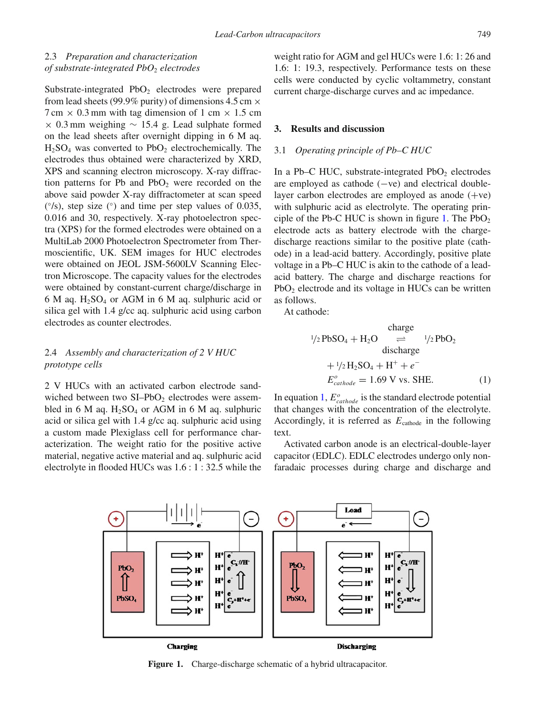# 2.3 *Preparation and characterization of substrate-integrated PbO*<sup>2</sup> *electrodes*

Substrate-integrated  $PbO<sub>2</sub>$  electrodes were prepared from lead sheets (99.9% purity) of dimensions 4.5 cm  $\times$  $7 \text{ cm} \times 0.3 \text{ mm}$  with tag dimension of 1 cm  $\times$  1.5 cm  $\times$  0.3 mm weighing  $\sim$  15.4 g. Lead sulphate formed on the lead sheets after overnight dipping in 6 M aq.  $H<sub>2</sub>SO<sub>4</sub>$  was converted to PbO<sub>2</sub> electrochemically. The electrodes thus obtained were characterized by XRD, XPS and scanning electron microscopy. X-ray diffraction patterns for Pb and  $PbO<sub>2</sub>$  were recorded on the above said powder X-ray diffractometer at scan speed ( ◦/s), step size (◦) and time per step values of 0.035, 0.016 and 30, respectively. X-ray photoelectron spectra (XPS) for the formed electrodes were obtained on a MultiLab 2000 Photoelectron Spectrometer from Thermoscientific, UK. SEM images for HUC electrodes were obtained on JEOL JSM-5600LV Scanning Electron Microscope. The capacity values for the electrodes were obtained by constant-current charge/discharge in  $6$  M aq. H<sub>2</sub>SO<sub>4</sub> or AGM in 6 M aq. sulphuric acid or silica gel with 1.4 g/cc aq. sulphuric acid using carbon electrodes as counter electrodes.

#### 2.4 *Assembly and characterization of 2 V HUC prototype cells*

2 V HUCs with an activated carbon electrode sandwiched between two  $SI-PbO<sub>2</sub>$  electrodes were assembled in 6 M aq.  $H_2SO_4$  or AGM in 6 M aq. sulphuric acid or silica gel with 1.4 g/cc aq. sulphuric acid using a custom made Plexiglass cell for performance characterization. The weight ratio for the positive active material, negative active material and aq. sulphuric acid electrolyte in flooded HUCs was 1.6 : 1 : 32.5 while the weight ratio for AGM and gel HUCs were 1.6: 1: 26 and 1.6: 1: 19.3, respectively. Performance tests on these cells were conducted by cyclic voltammetry, constant current charge-discharge curves and ac impedance.

#### **3. Results and discussion**

#### 3.1 *Operating principle of Pb–C HUC*

In a Pb–C HUC, substrate-integrated  $PbO<sub>2</sub>$  electrodes are employed as cathode (−ve) and electrical doublelayer carbon electrodes are employed as anode  $(+ve)$ with sulphuric acid as electrolyte. The operating prin-ciple of the Pb-C HUC is shown in figure [1.](#page-2-0) The PbO<sub>2</sub> electrode acts as battery electrode with the chargedischarge reactions similar to the positive plate (cathode) in a lead-acid battery. Accordingly, positive plate voltage in a Pb–C HUC is akin to the cathode of a leadacid battery. The charge and discharge reactions for PbO<sub>2</sub> electrode and its voltage in HUCs can be written as follows.

At cathode:

<span id="page-2-1"></span>charge  
\n
$$
^{1}/2 \text{PbSO}_4 + \text{H}_2\text{O} \implies ^{1}/2 \text{PbO}_2
$$
\ndischarge  
\n
$$
+ ^{1}/2 \text{H}_2\text{SO}_4 + \text{H}^+ + e^-
$$
\n
$$
E_{cathode}^o = 1.69 \text{ V vs. SHE.}
$$
\n(1)

In equation [1,](#page-2-1)  $E_{cathode}^o$  is the standard electrode potential that changes with the concentration of the electrolyte. Accordingly, it is referred as  $E_{\text{cathode}}$  in the following text.

Activated carbon anode is an electrical-double-layer capacitor (EDLC). EDLC electrodes undergo only nonfaradaic processes during charge and discharge and

<span id="page-2-0"></span>

**Figure 1.** Charge-discharge schematic of a hybrid ultracapacitor.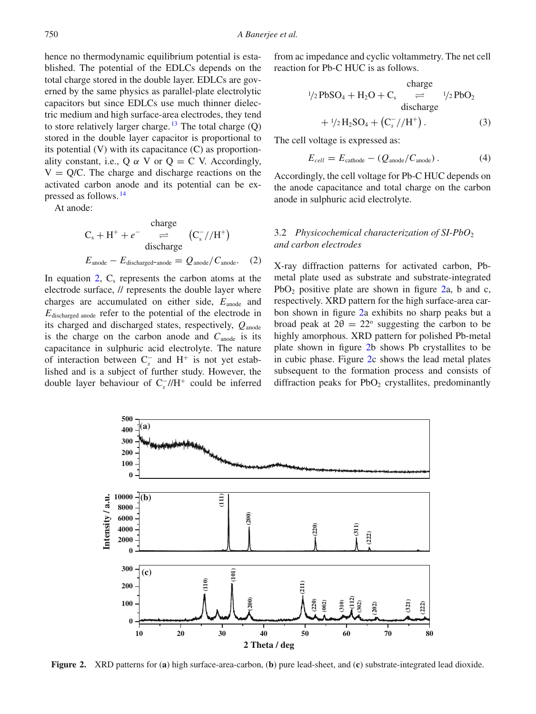hence no thermodynamic equilibrium potential is established. The potential of the EDLCs depends on the total charge stored in the double layer. EDLCs are governed by the same physics as parallel-plate electrolytic capacitors but since EDLCs use much thinner dielectric medium and high surface-area electrodes, they tend to store relatively larger charge.<sup>[13](#page-14-6)</sup> The total charge  $(Q)$ stored in the double layer capacitor is proportional to its potential (V) with its capacitance (C) as proportionality constant, i.e., Q  $\alpha$  V or Q = C V. Accordingly,  $V = Q/C$ . The charge and discharge reactions on the activated carbon anode and its potential can be expressed as follows. [14](#page-14-7)

At anode:

<span id="page-3-0"></span>charge  
\n
$$
C_s + H^+ + e^- \implies (C_s^- // H^+)
$$
\ndischarge  
\n
$$
E_{\text{anode}} - E_{\text{discharged-anode}} = Q_{\text{anode}} / C_{\text{anode}}.
$$
 (2)

In equation  $2$ ,  $C_s$  represents the carbon atoms at the electrode surface, // represents the double layer where charges are accumulated on either side,  $E_{\text{anode}}$  and *E*discharged anode refer to the potential of the electrode in its charged and discharged states, respectively, *Q*anode is the charge on the carbon anode and  $C_{\text{anode}}$  is its capacitance in sulphuric acid electrolyte. The nature of interaction between C<sup>−</sup> *<sup>s</sup>* and H<sup>+</sup> is not yet established and is a subject of further study. However, the double layer behaviour of C<sup>−</sup> *<sup>s</sup>* //H<sup>+</sup> could be inferred

from ac impedance and cyclic voltammetry. The net cell reaction for Pb-C HUC is as follows.

<span id="page-3-2"></span>charge  
\n
$$
^{1/2}PbSO_4 + H_2O + C_s \underset{\text{discharge}}{\rightleftharpoons} ^{1/2}PbO_2
$$
\ndischarge  
\n
$$
+ ^{1/2}H_2SO_4 + (C_s^-//H^+).
$$
\n(3)

The cell voltage is expressed as:

$$
E_{cell} = E_{\text{cathode}} - (Q_{\text{anode}}/C_{\text{anode}}). \tag{4}
$$

Accordingly, the cell voltage for Pb-C HUC depends on the anode capacitance and total charge on the carbon anode in sulphuric acid electrolyte.

## 3.2 *Physicochemical characterization of SI-PbO*<sup>2</sup> *and carbon electrodes*

X-ray diffraction patterns for activated carbon, Pbmetal plate used as substrate and substrate-integrated PbO<sub>2</sub> positive plate are shown in figure  $2a$ , b and c, respectively. XRD pattern for the high surface-area carbon shown in figure [2a](#page-3-1) exhibits no sharp peaks but a broad peak at  $2\theta = 22^{\circ}$  suggesting the carbon to be highly amorphous. XRD pattern for polished Pb-metal plate shown in figure [2b](#page-3-1) shows Pb crystallites to be in cubic phase. Figure [2c](#page-3-1) shows the lead metal plates subsequent to the formation process and consists of diffraction peaks for  $PbO<sub>2</sub>$  crystallites, predominantly

<span id="page-3-1"></span>

**Figure 2.** XRD patterns for (**a**) high surface-area-carbon, (**b**) pure lead-sheet, and (**c**) substrate-integrated lead dioxide.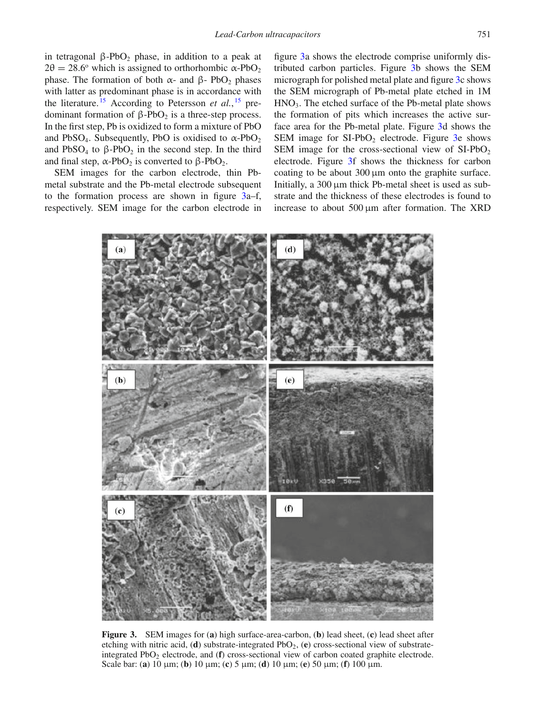in tetragonal  $β-PbO<sub>2</sub>$  phase, in addition to a peak at  $2\theta = 28.6^{\circ}$  which is assigned to orthorhombic  $\alpha$ -PbO<sub>2</sub> phase. The formation of both  $\alpha$ - and β- PbO<sub>2</sub> phases with latter as predominant phase is in accordance with the literature. [15](#page-14-8) According to Petersson *et al.*, [15](#page-14-8) predominant formation of  $β$ -PbO<sub>2</sub> is a three-step process. In the first step, Pb is oxidized to form a mixture of PbO and PbSO<sub>4</sub>. Subsequently, PbO is oxidised to  $\alpha$ -PbO<sub>2</sub> and  $PbSO_4$  to  $\beta$ - $PbO_2$  in the second step. In the third and final step,  $\alpha$ -PbO<sub>2</sub> is converted to  $\beta$ -PbO<sub>2</sub>.

SEM images for the carbon electrode, thin Pbmetal substrate and the Pb-metal electrode subsequent to the formation process are shown in figure [3a](#page-4-0)–f, respectively. SEM image for the carbon electrode in

figure [3a](#page-4-0) shows the electrode comprise uniformly distributed carbon particles. Figure [3b](#page-4-0) shows the SEM micrograph for polished metal plate and figure [3c](#page-4-0) shows the SEM micrograph of Pb-metal plate etched in 1M  $HNO<sub>3</sub>$ . The etched surface of the Pb-metal plate shows the formation of pits which increases the active surface area for the Pb-metal plate. Figure [3d](#page-4-0) shows the SEM image for  $SI-PbO<sub>2</sub>$  electrode. Figure [3e](#page-4-0) shows SEM image for the cross-sectional view of  $SI-PbO<sub>2</sub>$ electrode. Figure [3f](#page-4-0) shows the thickness for carbon coating to be about 300 μm onto the graphite surface. Initially, a 300 μm thick Pb-metal sheet is used as substrate and the thickness of these electrodes is found to increase to about 500 μm after formation. The XRD

<span id="page-4-0"></span>

**Figure 3.** SEM images for (**a**) high surface-area-carbon, (**b**) lead sheet, (**c**) lead sheet after etching with nitric acid, (**d**) substrate-integrated PbO2, (**e**) cross-sectional view of substrateintegrated PbO<sub>2</sub> electrode, and (**f**) cross-sectional view of carbon coated graphite electrode. Scale bar: (**a**) 10 μm; (**b**) 10 μm; (**c**) 5 μm; (**d**) 10 μm; (**e**) 50 μm; (**f**) 100 μm.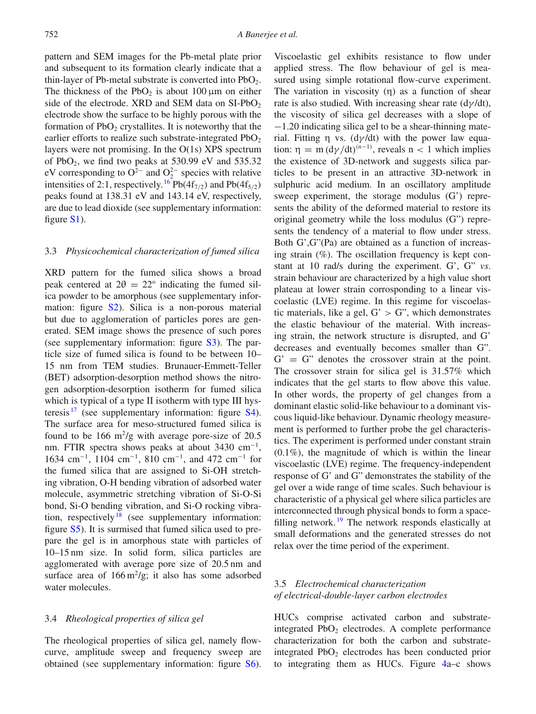pattern and SEM images for the Pb-metal plate prior and subsequent to its formation clearly indicate that a thin-layer of Pb-metal substrate is converted into  $PbO<sub>2</sub>$ . The thickness of the PbO<sub>2</sub> is about 100  $\mu$ m on either side of the electrode. XRD and SEM data on  $SI-PbO<sub>2</sub>$ electrode show the surface to be highly porous with the formation of  $PbO<sub>2</sub>$  crystallites. It is noteworthy that the earlier efforts to realize such substrate-integrated  $PbO<sub>2</sub>$ layers were not promising. In the O(1s) XPS spectrum of  $PbO<sub>2</sub>$ , we find two peaks at 530.99 eV and 535.32 eV corresponding to  $O^{2-}$  and  $O_2^{2-}$  species with relative intensities of 2:1, respectively. <sup>[16](#page-14-9)</sup> Pb(4f<sub>7/2</sub>) and Pb(4f<sub>5/2</sub>) peaks found at 138.31 eV and 143.14 eV, respectively, are due to lead dioxide (see supplementary information: figure S1).

#### 3.3 *Physicochemical characterization of fumed silica*

XRD pattern for the fumed silica shows a broad peak centered at  $2\theta = 22^{\circ}$  indicating the fumed silica powder to be amorphous (see supplementary information: figure S2). Silica is a non-porous material but due to agglomeration of particles pores are generated. SEM image shows the presence of such pores (see supplementary information: figure S3). The particle size of fumed silica is found to be between 10– 15 nm from TEM studies. Brunauer-Emmett-Teller (BET) adsorption-desorption method shows the nitrogen adsorption-desorption isotherm for fumed silica which is typical of a type II isotherm with type III hysteresis  $17$  (see supplementary information: figure S4). The surface area for meso-structured fumed silica is found to be 166  $\rm m^2/g$  with average pore-size of 20.5 nm. FTIR spectra shows peaks at about 3430 cm<sup>-1</sup>, 1634 cm<sup>−</sup>1, 1104 cm<sup>−</sup>1, 810 cm<sup>−</sup>1, and 472 cm<sup>−</sup><sup>1</sup> for the fumed silica that are assigned to Si-OH stretching vibration, O-H bending vibration of adsorbed water molecule, asymmetric stretching vibration of Si-O-Si bond, Si-O bending vibration, and Si-O rocking vibra-tion, respectively<sup>[18](#page-15-1)</sup> (see supplementary information: figure S5). It is surmised that fumed silica used to prepare the gel is in amorphous state with particles of 10–15 nm size. In solid form, silica particles are agglomerated with average pore size of 20.5 nm and surface area of  $166 \text{ m}^2/\text{g}$ ; it also has some adsorbed water molecules.

#### 3.4 *Rheological properties of silica gel*

The rheological properties of silica gel, namely flowcurve, amplitude sweep and frequency sweep are obtained (see supplementary information: figure S6).

Viscoelastic gel exhibits resistance to flow under applied stress. The flow behaviour of gel is measured using simple rotational flow-curve experiment. The variation in viscosity  $(\eta)$  as a function of shear rate is also studied. With increasing shear rate  $\frac{d\gamma}{dt}$ , the viscosity of silica gel decreases with a slope of −1.20 indicating silica gel to be a shear-thinning material. Fitting  $\eta$  vs. (d $\gamma$ /dt) with the power law equation:  $\eta = m (d\gamma/dt)^{(n-1)}$ , reveals  $n < 1$  which implies the existence of 3D-network and suggests silica particles to be present in an attractive 3D-network in sulphuric acid medium. In an oscillatory amplitude sweep experiment, the storage modulus (G') represents the ability of the deformed material to restore its original geometry while the loss modulus (G") represents the tendency of a material to flow under stress. Both G',G"(Pa) are obtained as a function of increasing strain  $(\%)$ . The oscillation frequency is kept constant at 10 rad/s during the experiment. G', G" *vs*. strain behaviour are characterized by a high value short plateau at lower strain corrosponding to a linear viscoelastic (LVE) regime. In this regime for viscoelastic materials, like a gel,  $G' > G''$ , which demonstrates the elastic behaviour of the material. With increasing strain, the network structure is disrupted, and G' decreases and eventually becomes smaller than G".  $G' = G''$  denotes the crossover strain at the point. The crossover strain for silica gel is 31.57% which indicates that the gel starts to flow above this value. In other words, the property of gel changes from a dominant elastic solid-like behaviour to a dominant viscous liquid-like behaviour. Dynamic rheology measurement is performed to further probe the gel characteristics. The experiment is performed under constant strain (0.1%), the magnitude of which is within the linear viscoelastic (LVE) regime. The frequency-independent response of G' and G" demonstrates the stability of the gel over a wide range of time scales. Such behaviour is characteristic of a physical gel where silica particles are interconnected through physical bonds to form a space-filling network.<sup>[19](#page-15-2)</sup> The network responds elastically at small deformations and the generated stresses do not relax over the time period of the experiment.

## 3.5 *Electrochemical characterization of electrical-double-layer carbon electrodes*

HUCs comprise activated carbon and substrateintegrated  $PbO<sub>2</sub>$  electrodes. A complete performance characterization for both the carbon and substrateintegrated  $PbO<sub>2</sub>$  electrodes has been conducted prior to integrating them as HUCs. Figure [4a](#page-6-0)–c shows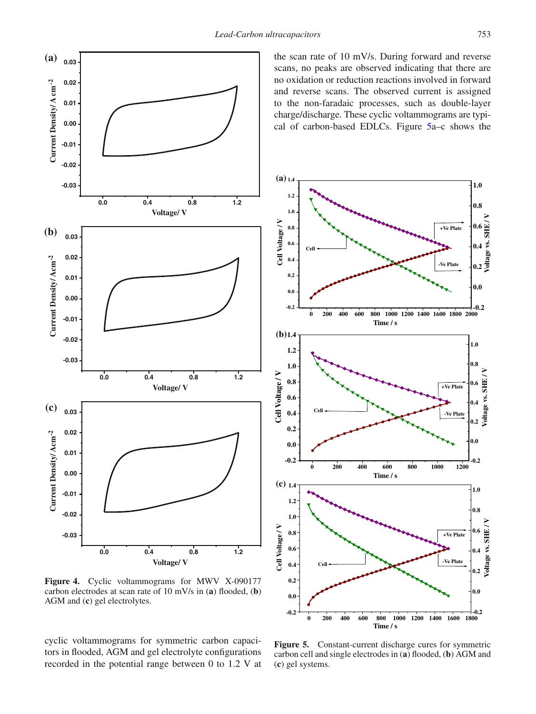<span id="page-6-0"></span>

**Figure 4.** Cyclic voltammograms for MWV X-090177 carbon electrodes at scan rate of 10 mV/s in (**a**) flooded, (**b**) AGM and (**c**) gel electrolytes.

cyclic voltammograms for symmetric carbon capacitors in flooded, AGM and gel electrolyte configurations recorded in the potential range between 0 to 1.2 V at the scan rate of 10 mV/s. During forward and reverse scans, no peaks are observed indicating that there are no oxidation or reduction reactions involved in forward and reverse scans. The observed current is assigned to the non-faradaic processes, such as double-layer charge/discharge. These cyclic voltammograms are typical of carbon-based EDLCs. Figure [5a](#page-6-1)–c shows the

<span id="page-6-1"></span>

**Figure 5.** Constant-current discharge cures for symmetric carbon cell and single electrodes in (**a**) flooded, (**b**) AGM and (**c**) gel systems.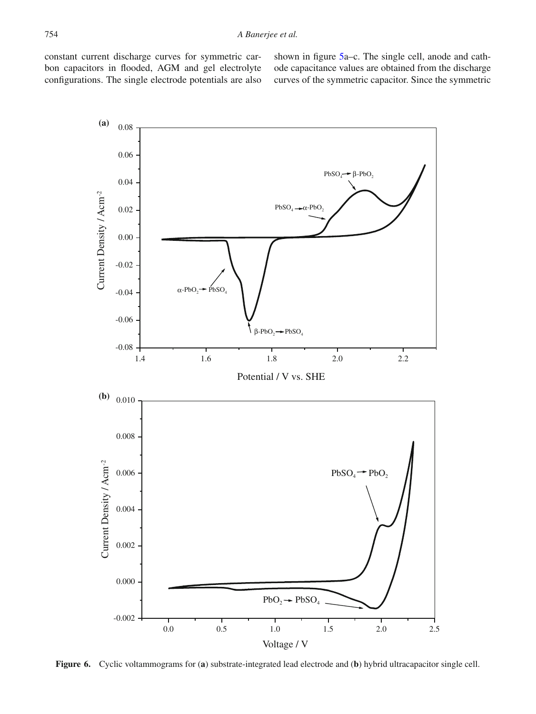constant current discharge curves for symmetric carbon capacitors in flooded, AGM and gel electrolyte configurations. The single electrode potentials are also shown in figure [5a](#page-6-1)–c. The single cell, anode and cathode capacitance values are obtained from the discharge curves of the symmetric capacitor. Since the symmetric

<span id="page-7-0"></span>

**Figure 6.** Cyclic voltammograms for (**a**) substrate-integrated lead electrode and (**b**) hybrid ultracapacitor single cell.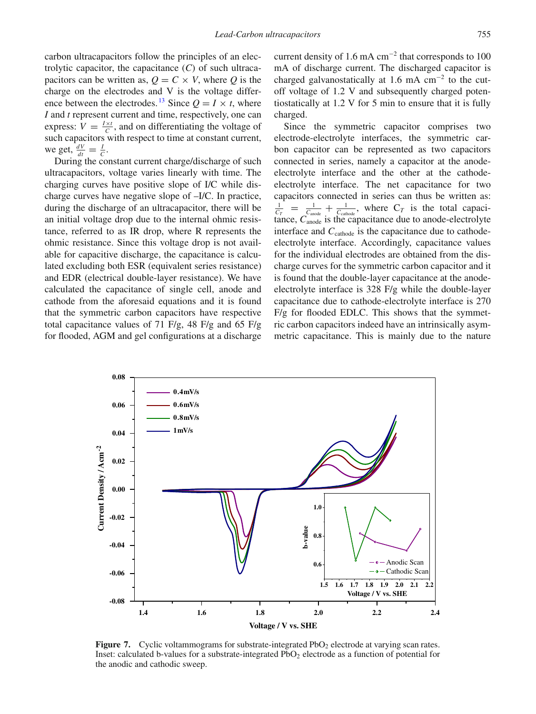carbon ultracapacitors follow the principles of an electrolytic capacitor, the capacitance (*C*) of such ultracapacitors can be written as,  $Q = C \times V$ , where *Q* is the charge on the electrodes and V is the voltage differ-ence between the electrodes.<sup>[13](#page-14-6)</sup> Since  $Q = I \times t$ , where *I* and *t* represent current and time, respectively, one can express:  $V = \frac{I \times t}{C}$ , and on differentiating the voltage of such capacitors with respect to time at constant current, we get,  $\frac{dV}{dt} = \frac{I}{C}$ .

During the constant current charge/discharge of such ultracapacitors, voltage varies linearly with time. The charging curves have positive slope of I/C while discharge curves have negative slope of –I/C. In practice, during the discharge of an ultracapacitor, there will be an initial voltage drop due to the internal ohmic resistance, referred to as IR drop, where R represents the ohmic resistance. Since this voltage drop is not available for capacitive discharge, the capacitance is calculated excluding both ESR (equivalent series resistance) and EDR (electrical double-layer resistance). We have calculated the capacitance of single cell, anode and cathode from the aforesaid equations and it is found that the symmetric carbon capacitors have respective total capacitance values of 71 F/g, 48 F/g and 65 F/g for flooded, AGM and gel configurations at a discharge current density of 1.6 mA  $cm^{-2}$  that corresponds to 100 mA of discharge current. The discharged capacitor is charged galvanostatically at 1.6 mA  $cm^{-2}$  to the cutoff voltage of 1.2 V and subsequently charged potentiostatically at 1.2 V for 5 min to ensure that it is fully charged.

Since the symmetric capacitor comprises two electrode-electrolyte interfaces, the symmetric carbon capacitor can be represented as two capacitors connected in series, namely a capacitor at the anodeelectrolyte interface and the other at the cathodeelectrolyte interface. The net capacitance for two capacitors connected in series can thus be written as:  $\frac{1}{C_T}$  =  $\frac{1}{C_{\text{anode}}}$  +  $\frac{1}{C_{\text{cathode}}}$ , where  $C_T$  is the total capacitance,  $C_{\text{anode}}$  is the capacitance due to anode-electrolyte interface and C<sub>cathode</sub> is the capacitance due to cathodeelectrolyte interface. Accordingly, capacitance values for the individual electrodes are obtained from the discharge curves for the symmetric carbon capacitor and it is found that the double-layer capacitance at the anodeelectrolyte interface is 328 F/g while the double-layer capacitance due to cathode-electrolyte interface is 270 F/g for flooded EDLC. This shows that the symmetric carbon capacitors indeed have an intrinsically asymmetric capacitance. This is mainly due to the nature

<span id="page-8-0"></span>

**Figure 7.** Cyclic voltammograms for substrate-integrated PbO<sub>2</sub> electrode at varying scan rates. Inset: calculated b-values for a substrate-integrated  $PbO<sub>2</sub>$  electrode as a function of potential for the anodic and cathodic sweep.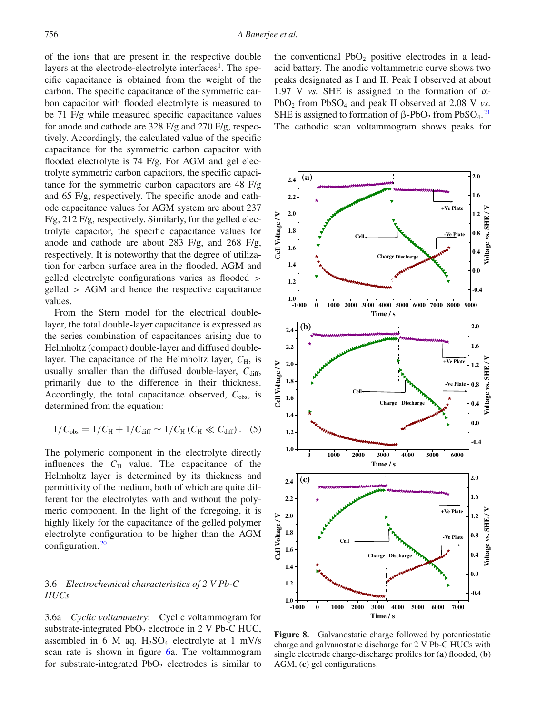of the ions that are present in the respective double layers at the electrode-electrolyte interfaces<sup>1</sup>. The specific capacitance is obtained from the weight of the carbon. The specific capacitance of the symmetric carbon capacitor with flooded electrolyte is measured to be 71 F/g while measured specific capacitance values for anode and cathode are 328 F/g and 270 F/g, respectively. Accordingly, the calculated value of the specific capacitance for the symmetric carbon capacitor with flooded electrolyte is 74 F/g. For AGM and gel electrolyte symmetric carbon capacitors, the specific capacitance for the symmetric carbon capacitors are 48 F/g and 65 F/g, respectively. The specific anode and cathode capacitance values for AGM system are about 237 F/g, 212 F/g, respectively. Similarly, for the gelled electrolyte capacitor, the specific capacitance values for anode and cathode are about 283 F/g, and 268 F/g, respectively. It is noteworthy that the degree of utilization for carbon surface area in the flooded, AGM and gelled electrolyte configurations varies as flooded > gelled > AGM and hence the respective capacitance values.

From the Stern model for the electrical doublelayer, the total double-layer capacitance is expressed as the series combination of capacitances arising due to Helmholtz (compact) double-layer and diffused doublelayer. The capacitance of the Helmholtz layer,  $C_{\text{H}}$ , is usually smaller than the diffused double-layer,  $C_{\text{diff}}$ , primarily due to the difference in their thickness. Accordingly, the total capacitance observed,  $C_{obs}$ , is determined from the equation:

$$
1/C_{obs} = 1/C_H + 1/C_{diff} \sim 1/C_H (C_H \ll C_{diff}).
$$
 (5)

The polymeric component in the electrolyte directly influences the  $C_H$  value. The capacitance of the Helmholtz layer is determined by its thickness and permittivity of the medium, both of which are quite different for the electrolytes with and without the polymeric component. In the light of the foregoing, it is highly likely for the capacitance of the gelled polymer electrolyte configuration to be higher than the AGM configuration.<sup>[20](#page-15-3)</sup>

# 3.6 *Electrochemical characteristics of 2 V Pb-C HUCs*

3.6a *Cyclic voltammetry*: Cyclic voltammogram for substrate-integrated  $PbO<sub>2</sub>$  electrode in 2 V Pb-C HUC, assembled in 6 M aq.  $H_2SO_4$  electrolyte at 1 mV/s scan rate is shown in figure [6a](#page-7-0). The voltammogram for substrate-integrated  $PbO<sub>2</sub>$  electrodes is similar to

the conventional  $PbO<sub>2</sub>$  positive electrodes in a leadacid battery. The anodic voltammetric curve shows two peaks designated as I and II. Peak I observed at about 1.97 V *vs.* SHE is assigned to the formation of  $\alpha$ -PbO2 from PbSO4 and peak II observed at 2.08 V *vs.* SHE is assigned to formation of  $\beta$ -PbO<sub>2</sub> from PbSO<sub>4</sub>.<sup>[21](#page-15-4)</sup> The cathodic scan voltammogram shows peaks for

<span id="page-9-0"></span>

**Figure 8.** Galvanostatic charge followed by potentiostatic charge and galvanostatic discharge for 2 V Pb-C HUCs with single electrode charge-discharge profiles for (**a**) flooded, (**b**) AGM, (**c**) gel configurations.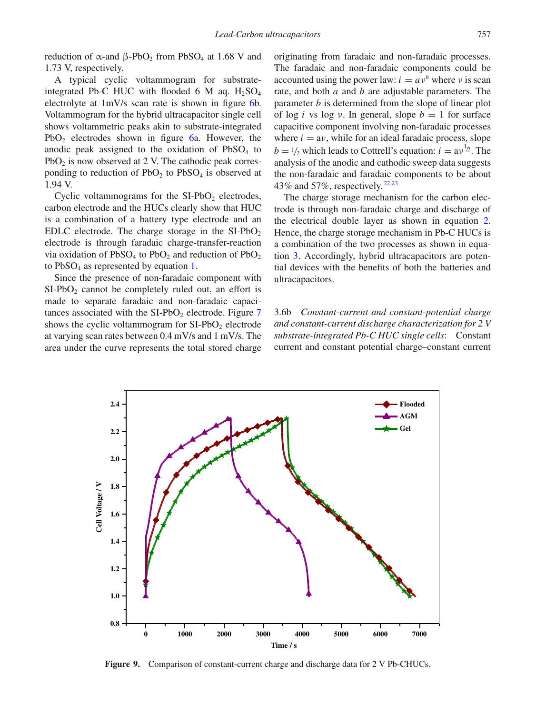reduction of α-and  $\beta$ -PbO<sub>2</sub> from PbSO<sub>4</sub> at 1.68 V and 1.73 V, respectively.

A typical cyclic voltammogram for substrateintegrated Pb-C HUC with flooded 6 M aq.  $H_2SO_4$ electrolyte at 1mV/s scan rate is shown in figure [6b](#page-7-0). Voltammogram for the hybrid ultracapacitor single cell shows voltammetric peaks akin to substrate-integrated PbO<sub>2</sub> electrodes shown in figure [6a](#page-7-0). However, the anodic peak assigned to the oxidation of  $PbSO<sub>4</sub>$  to  $PbO<sub>2</sub>$  is now observed at 2 V. The cathodic peak corresponding to reduction of  $PbO<sub>2</sub>$  to  $PbSO<sub>4</sub>$  is observed at 1.94 V.

Cyclic voltammograms for the  $SI-PbO<sub>2</sub>$  electrodes, carbon electrode and the HUCs clearly show that HUC is a combination of a battery type electrode and an EDLC electrode. The charge storage in the  $SI-PbO<sub>2</sub>$ electrode is through faradaic charge-transfer-reaction via oxidation of  $PbSO_4$  to  $PbO_2$  and reduction of  $PbO_2$ to  $PbSO<sub>4</sub>$  as represented by equation [1.](#page-2-1)

Since the presence of non-faradaic component with  $SI-PbO<sub>2</sub>$  cannot be completely ruled out, an effort is made to separate faradaic and non-faradaic capacitances associated with the  $SI-PbO<sub>2</sub>$  electrode. Figure [7](#page-8-0) shows the cyclic voltammogram for  $SI-PbO<sub>2</sub>$  electrode at varying scan rates between 0.4 mV/s and 1 mV/s. The area under the curve represents the total stored charge

originating from faradaic and non-faradaic processes. The faradaic and non-faradaic components could be accounted using the power law:  $i = av^b$  where v is scan rate, and both *a* and *b* are adjustable parameters. The parameter *b* is determined from the slope of linear plot of log *i* vs log *v*. In general, slope  $b = 1$  for surface capacitive component involving non-faradaic processes where  $i = av$ , while for an ideal faradaic process, slope  $b = \frac{1}{2}$  which leads to Cottrell's equation:  $i = av^{\frac{1}{2}}$ . The analysis of the anodic and cathodic sweep data suggests the non-faradaic and faradaic components to be about 43% and 57%, respectively. [22](#page-15-5)[,23](#page-15-6)

The charge storage mechanism for the carbon electrode is through non-faradaic charge and discharge of the electrical double layer as shown in equation [2.](#page-3-0) Hence, the charge storage mechanism in Pb-C HUCs is a combination of the two processes as shown in equation [3.](#page-3-2) Accordingly, hybrid ultracapacitors are potential devices with the benefits of both the batteries and ultracapacitors.

3.6b *Constant-current and constant-potential charge and constant-current discharge characterization for 2 V substrate-integrated Pb-C HUC single cells*: Constant current and constant potential charge–constant current

<span id="page-10-0"></span>

**Figure 9.** Comparison of constant-current charge and discharge data for 2 V Pb-CHUCs.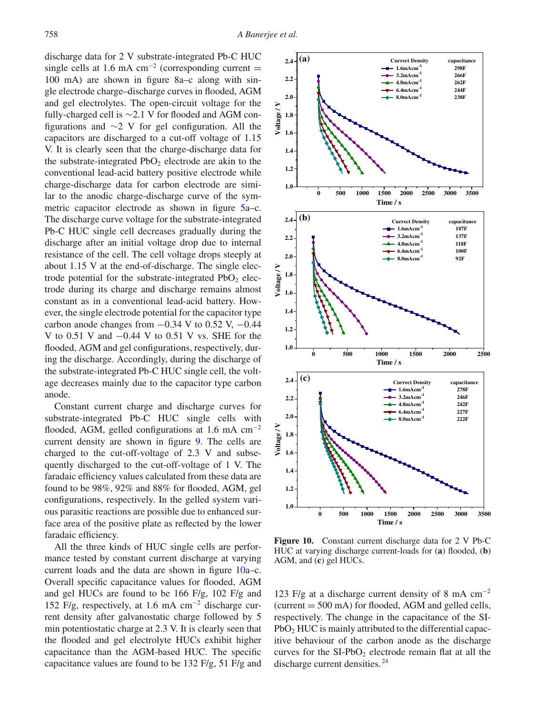discharge data for 2 V substrate-integrated Pb-C HUC single cells at 1.6 mA cm<sup>-2</sup> (corresponding current = 100 mA) are shown in figure [8a](#page-9-0)–c along with single electrode charge–discharge curves in flooded, AGM and gel electrolytes. The open-circuit voltage for the fully-charged cell is ∼2.1 V for flooded and AGM configurations and ∼2 V for gel configuration. All the capacitors are discharged to a cut-off voltage of 1.15 V. It is clearly seen that the charge-discharge data for the substrate-integrated  $PbO<sub>2</sub>$  electrode are akin to the conventional lead-acid battery positive electrode while charge-discharge data for carbon electrode are similar to the anodic charge-discharge curve of the symmetric capacitor electrode as shown in figure [5a](#page-6-1)–c. The discharge curve voltage for the substrate-integrated Pb-C HUC single cell decreases gradually during the discharge after an initial voltage drop due to internal resistance of the cell. The cell voltage drops steeply at about 1.15 V at the end-of-discharge. The single electrode potential for the substrate-integrated  $PbO<sub>2</sub>$  electrode during its charge and discharge remains almost constant as in a conventional lead-acid battery. However, the single electrode potential for the capacitor type carbon anode changes from  $-0.34$  V to 0.52 V,  $-0.44$ V to 0.51 V and −0.44 V to 0.51 V vs. SHE for the flooded, AGM and gel configurations, respectively, during the discharge. Accordingly, during the discharge of the substrate-integrated Pb-C HUC single cell, the voltage decreases mainly due to the capacitor type carbon anode.

Constant current charge and discharge curves for substrate-integrated Pb-C HUC single cells with flooded, AGM, gelled configurations at 1.6 mA  $cm^{-2}$ current density are shown in figure [9.](#page-10-0) The cells are charged to the cut-off-voltage of 2.3 V and subsequently discharged to the cut-off-voltage of 1 V. The faradaic efficiency values calculated from these data are found to be 98%, 92% and 88% for flooded, AGM, gel configurations, respectively. In the gelled system various parasitic reactions are possible due to enhanced surface area of the positive plate as reflected by the lower faradaic efficiency.

All the three kinds of HUC single cells are performance tested by constant current discharge at varying current loads and the data are shown in figure [10a](#page-11-0)–c. Overall specific capacitance values for flooded, AGM and gel HUCs are found to be 166 F/g, 102 F/g and 152 F/g, respectively, at 1.6 mA cm<sup>−</sup><sup>2</sup> discharge current density after galvanostatic charge followed by 5 min potentiostatic charge at 2.3 V. It is clearly seen that the flooded and gel electrolyte HUCs exhibit higher capacitance than the AGM-based HUC. The specific capacitance values are found to be 132 F/g, 51 F/g and

<span id="page-11-0"></span>

**Figure 10.** Constant current discharge data for 2 V Pb-C HUC at varying discharge current-loads for (**a**) flooded, (**b**) AGM, and (**c**) gel HUCs.

123 F/g at a discharge current density of 8 mA cm<sup>−</sup><sup>2</sup> (current  $= 500$  mA) for flooded, AGM and gelled cells, respectively. The change in the capacitance of the SI-PbO<sub>2</sub> HUC is mainly attributed to the differential capacitive behaviour of the carbon anode as the discharge curves for the  $SI-PbO<sub>2</sub>$  electrode remain flat at all the discharge current densities.<sup>[24](#page-15-7)</sup>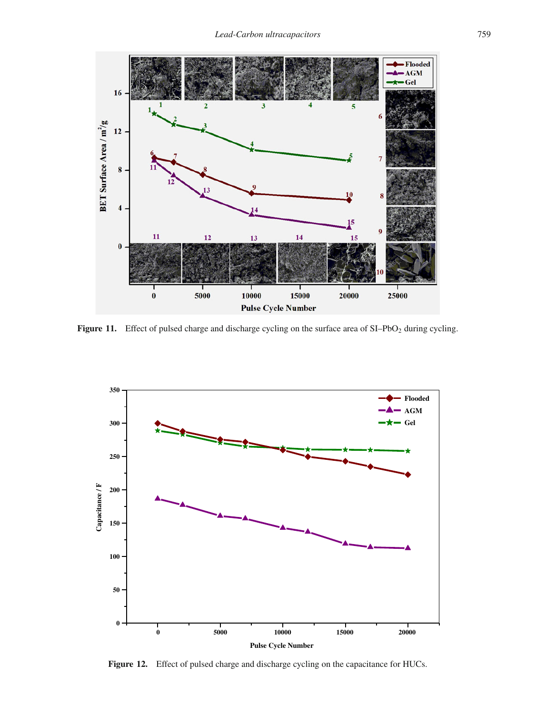<span id="page-12-0"></span>

Figure 11. Effect of pulsed charge and discharge cycling on the surface area of SI–PbO<sub>2</sub> during cycling.

<span id="page-12-1"></span>

Figure 12. Effect of pulsed charge and discharge cycling on the capacitance for HUCs.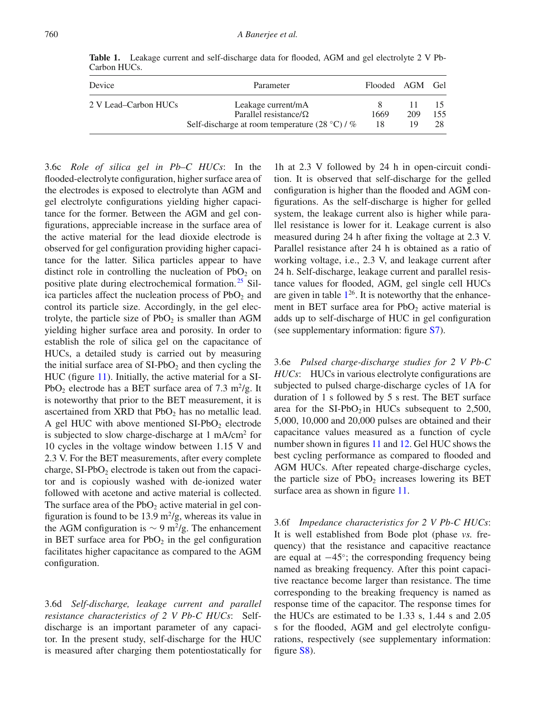| Device               | Parameter                                                                                             | Flooded AGM Gel |           |           |
|----------------------|-------------------------------------------------------------------------------------------------------|-----------------|-----------|-----------|
| 2 V Lead–Carbon HUCs | Leakage current/mA<br>Parallel resistance/ $\Omega$<br>Self-discharge at room temperature $(28 °C)/%$ | 1669<br>18      | 209<br>19 | 155<br>28 |

<span id="page-13-0"></span>Table 1. Leakage current and self-discharge data for flooded, AGM and gel electrolyte 2 V Pb-Carbon HUCs.

flooded-electrolyte configuration, higher surface area of the electrodes is exposed to electrolyte than AGM and gel electrolyte configurations yielding higher capacitance for the former. Between the AGM and gel configurations, appreciable increase in the surface area of the active material for the lead dioxide electrode is observed for gel configuration providing higher capacitance for the latter. Silica particles appear to have distinct role in controlling the nucleation of  $PbO<sub>2</sub>$  on positive plate during electrochemical formation.<sup>[25](#page-15-8)</sup> Silica particles affect the nucleation process of  $PbO<sub>2</sub>$  and control its particle size. Accordingly, in the gel electrolyte, the particle size of  $PbO<sub>2</sub>$  is smaller than AGM yielding higher surface area and porosity. In order to establish the role of silica gel on the capacitance of HUCs, a detailed study is carried out by measuring the initial surface area of  $SI-PbO<sub>2</sub>$  and then cycling the HUC (figure [11\)](#page-12-0). Initially, the active material for a SI-PbO<sub>2</sub> electrode has a BET surface area of 7.3 m<sup>2</sup>/g. It is noteworthy that prior to the BET measurement, it is ascertained from  $XRD$  that  $PbO<sub>2</sub>$  has no metallic lead. A gel HUC with above mentioned  $SI-PbO<sub>2</sub>$  electrode is subjected to slow charge-discharge at 1 mA/cm2 for 10 cycles in the voltage window between 1.15 V and 2.3 V. For the BET measurements, after every complete charge,  $SI-PbO<sub>2</sub>$  electrode is taken out from the capacitor and is copiously washed with de-ionized water followed with acetone and active material is collected. The surface area of the  $PbO<sub>2</sub>$  active material in gel configuration is found to be 13.9  $\mathrm{m}^2/\mathrm{g}$ , whereas its value in the AGM configuration is  $\sim$  9 m<sup>2</sup>/g. The enhancement in BET surface area for  $PbO<sub>2</sub>$  in the gel configuration facilitates higher capacitance as compared to the AGM configuration.

3.6c *Role of silica gel in Pb–C HUCs*: In the

3.6d *Self-discharge, leakage current and parallel resistance characteristics of 2 V Pb-C HUCs*: Selfdischarge is an important parameter of any capacitor. In the present study, self-discharge for the HUC is measured after charging them potentiostatically for

1h at 2.3 V followed by 24 h in open-circuit condition. It is observed that self-discharge for the gelled configuration is higher than the flooded and AGM configurations. As the self-discharge is higher for gelled system, the leakage current also is higher while parallel resistance is lower for it. Leakage current is also measured during 24 h after fixing the voltage at 2.3 V. Parallel resistance after 24 h is obtained as a ratio of working voltage, i.e., 2.3 V, and leakage current after 24 h. Self-discharge, leakage current and parallel resistance values for flooded, AGM, gel single cell HUCs are given in table  $1^{26}$ . It is noteworthy that the enhancement in BET surface area for  $PbO<sub>2</sub>$  active material is adds up to self-discharge of HUC in gel configuration (see supplementary information: figure S7).

3.6e *Pulsed charge-discharge studies for 2 V Pb-C HUCs*: HUCs in various electrolyte configurations are subjected to pulsed charge-discharge cycles of 1A for duration of 1 s followed by 5 s rest. The BET surface area for the  $SI-PbO<sub>2</sub>$  in HUCs subsequent to 2,500, 5,000, 10,000 and 20,000 pulses are obtained and their capacitance values measured as a function of cycle number shown in figures [11](#page-12-0) and [12.](#page-12-1) Gel HUC shows the best cycling performance as compared to flooded and AGM HUCs. After repeated charge-discharge cycles, the particle size of  $PbO<sub>2</sub>$  increases lowering its BET surface area as shown in figure [11.](#page-12-0)

3.6f *Impedance characteristics for 2 V Pb-C HUCs*: It is well established from Bode plot (phase *vs.* frequency) that the resistance and capacitive reactance are equal at −45◦; the corresponding frequency being named as breaking frequency. After this point capacitive reactance become larger than resistance. The time corresponding to the breaking frequency is named as response time of the capacitor. The response times for the HUCs are estimated to be 1.33 s, 1.44 s and 2.05 s for the flooded, AGM and gel electrolyte configurations, respectively (see supplementary information: figure S8).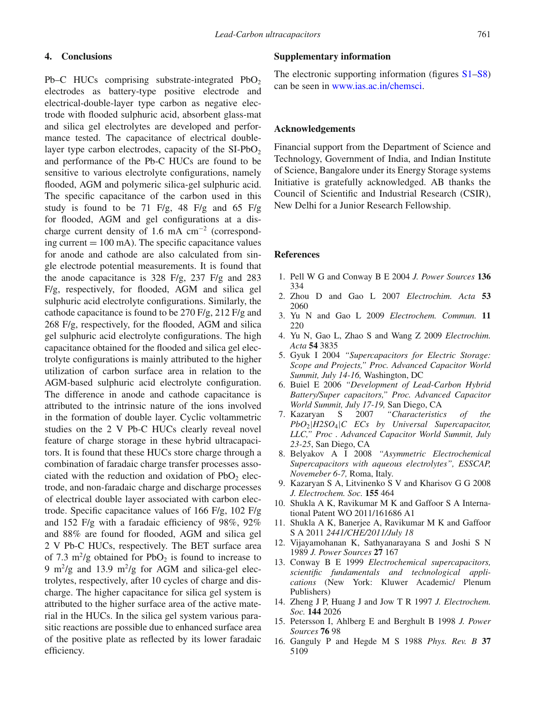# **4. Conclusions**

Pb–C HUCs comprising substrate-integrated  $PbO<sub>2</sub>$ electrodes as battery-type positive electrode and electrical-double-layer type carbon as negative electrode with flooded sulphuric acid, absorbent glass-mat and silica gel electrolytes are developed and performance tested. The capacitance of electrical doublelayer type carbon electrodes, capacity of the  $SI-PbO<sub>2</sub>$ and performance of the Pb-C HUCs are found to be sensitive to various electrolyte configurations, namely flooded, AGM and polymeric silica-gel sulphuric acid. The specific capacitance of the carbon used in this study is found to be 71 F/g, 48 F/g and 65 F/g for flooded, AGM and gel configurations at a discharge current density of 1.6 mA  $cm^{-2}$  (corresponding current  $= 100$  mA). The specific capacitance values for anode and cathode are also calculated from single electrode potential measurements. It is found that the anode capacitance is 328 F/g, 237 F/g and 283 F/g, respectively, for flooded, AGM and silica gel sulphuric acid electrolyte configurations. Similarly, the cathode capacitance is found to be 270 F/g, 212 F/g and 268 F/g, respectively, for the flooded, AGM and silica gel sulphuric acid electrolyte configurations. The high capacitance obtained for the flooded and silica gel electrolyte configurations is mainly attributed to the higher utilization of carbon surface area in relation to the AGM-based sulphuric acid electrolyte configuration. The difference in anode and cathode capacitance is attributed to the intrinsic nature of the ions involved in the formation of double layer. Cyclic voltammetric studies on the 2 V Pb-C HUCs clearly reveal novel feature of charge storage in these hybrid ultracapacitors. It is found that these HUCs store charge through a combination of faradaic charge transfer processes associated with the reduction and oxidation of  $PbO<sub>2</sub>$  electrode, and non-faradaic charge and discharge processes of electrical double layer associated with carbon electrode. Specific capacitance values of 166 F/g, 102 F/g and 152 F/g with a faradaic efficiency of 98%, 92% and 88% are found for flooded, AGM and silica gel 2 V Pb-C HUCs, respectively. The BET surface area of 7.3 m<sup>2</sup>/g obtained for PbO<sub>2</sub> is found to increase to 9 m<sup>2</sup>/g and 13.9 m<sup>2</sup>/g for AGM and silica-gel electrolytes, respectively, after 10 cycles of charge and discharge. The higher capacitance for silica gel system is attributed to the higher surface area of the active material in the HUCs. In the silica gel system various parasitic reactions are possible due to enhanced surface area of the positive plate as reflected by its lower faradaic efficiency.

#### **Supplementary information**

The electronic supporting information (figures  $S1-S8$ ) can be seen in [www.ias.ac.in/chemsci.](http://www.ias.ac.in/chemsci)

#### **Acknowledgements**

Financial support from the Department of Science and Technology, Government of India, and Indian Institute of Science, Bangalore under its Energy Storage systems Initiative is gratefully acknowledged. AB thanks the Council of Scientific and Industrial Research (CSIR), New Delhi for a Junior Research Fellowship.

#### **References**

- <span id="page-14-0"></span>1. Pell W G and Conway B E 2004 *J. Power Sources* **136** 334
- 2. Zhou D and Gao L 2007 *Electrochim. Acta* **53** 2060
- 3. Yu N and Gao L 2009 *Electrochem. Commun.* **11** 220
- 4. Yu N, Gao L, Zhao S and Wang Z 2009 *Electrochim. Acta* **54** 3835
- 5. Gyuk I 2004 *"Supercapacitors for Electric Storage: Scope and Projects," Proc. Advanced Capacitor World Summit, July 14-16,* Washington, DC
- 6. Buiel E 2006 *"Development of Lead-Carbon Hybrid Battery/Super capacitors," Proc. Advanced Capacitor World Summit, July 17-19,* San Diego, CA
- 7. Kazaryan S 2007 *"Characteristics of the PbO*2|*H2SO*4|*C ECs by Universal Supercapacitor, LLC," Proc . Advanced Capacitor World Summit, July 23-25*, San Diego, CA
- <span id="page-14-1"></span>8. Belyakov A I 2008 *"Asymmetric Electrochemical Supercapacitors with aqueous electrolytes", ESSCAP, Novemeber 6-7,* Roma, Italy.
- <span id="page-14-2"></span>9. Kazaryan S A, Litvinenko S V and Kharisov G G 2008 *J. Electrochem. Soc.* **155** 464
- <span id="page-14-3"></span>10. Shukla A K, Ravikumar M K and Gaffoor S A International Patent WO 2011/161686 A1
- <span id="page-14-4"></span>11. Shukla A K, Banerjee A, Ravikumar M K and Gaffoor S A 2011 *2441/CHE/2011/July 18*
- <span id="page-14-5"></span>12. Vijayamohanan K, Sathyanarayana S and Joshi S N 1989 *J. Power Sources* **27** 167
- <span id="page-14-6"></span>13. Conway B E 1999 *Electrochemical supercapacitors, scientific fundamentals and technological applications* (New York: Kluwer Academic/ Plenum Publishers)
- <span id="page-14-7"></span>14. Zheng J P, Huang J and Jow T R 1997 *J. Electrochem. Soc.* **144** 2026
- <span id="page-14-8"></span>15. Petersson I, Ahlberg E and Berghult B 1998 *J. Power Sources* **76** 98
- <span id="page-14-9"></span>16. Ganguly P and Hegde M S 1988 *Phys. Rev. B* **37** 5109